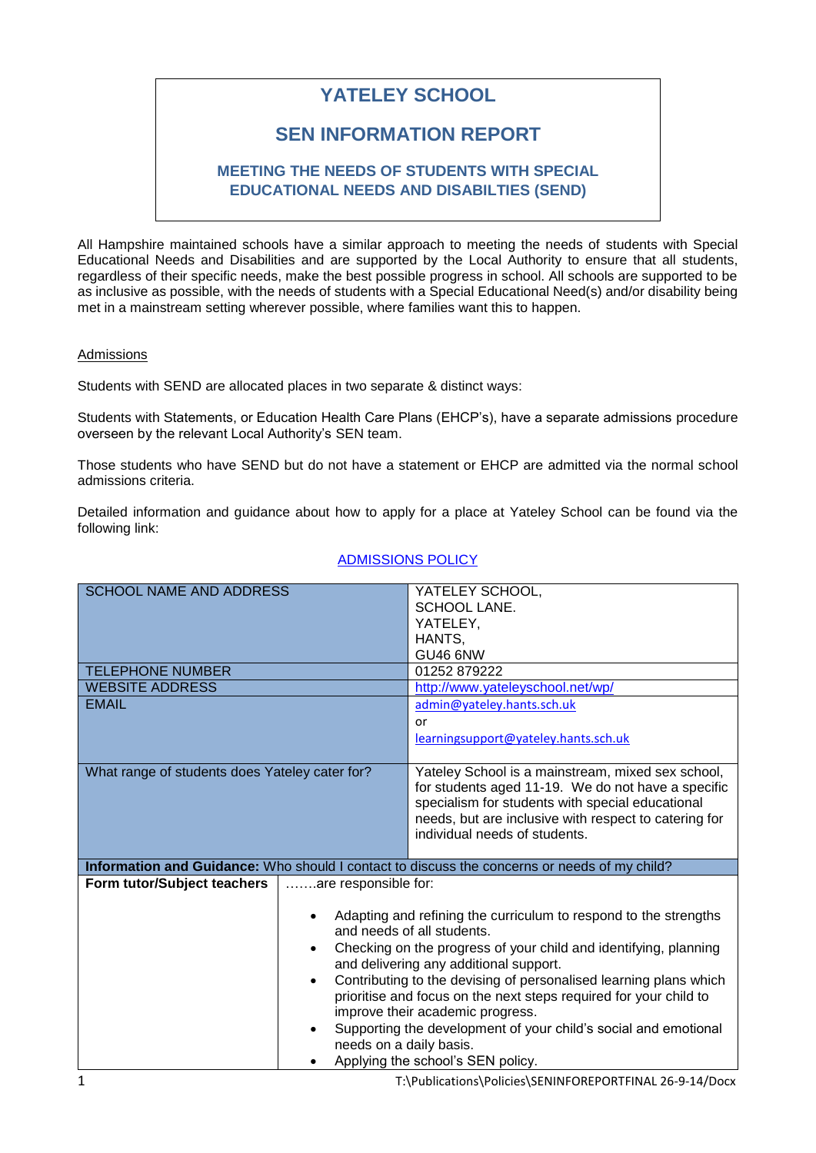# **YATELEY SCHOOL**

# **SEN INFORMATION REPORT**

# **MEETING THE NEEDS OF STUDENTS WITH SPECIAL EDUCATIONAL NEEDS AND DISABILTIES (SEND)**

All Hampshire maintained schools have a similar approach to meeting the needs of students with Special Educational Needs and Disabilities and are supported by the Local Authority to ensure that all students, regardless of their specific needs, make the best possible progress in school. All schools are supported to be as inclusive as possible, with the needs of students with a Special Educational Need(s) and/or disability being met in a mainstream setting wherever possible, where families want this to happen.

#### Admissions

Students with SEND are allocated places in two separate & distinct ways:

Students with Statements, or Education Health Care Plans (EHCP's), have a separate admissions procedure overseen by the relevant Local Authority's SEN team.

Those students who have SEND but do not have a statement or EHCP are admitted via the normal school admissions criteria.

Detailed information and guidance about how to apply for a place at Yateley School can be found via the following link:

| <b>SCHOOL NAME AND ADDRESS</b>                 |                                                                                | YATELEY SCHOOL,                                                                              |  |
|------------------------------------------------|--------------------------------------------------------------------------------|----------------------------------------------------------------------------------------------|--|
|                                                |                                                                                | SCHOOL LANE.                                                                                 |  |
|                                                |                                                                                | YATELEY,                                                                                     |  |
|                                                |                                                                                | HANTS,                                                                                       |  |
|                                                |                                                                                | <b>GU46 6NW</b>                                                                              |  |
| <b>TELEPHONE NUMBER</b>                        |                                                                                | 01252 879222                                                                                 |  |
| <b>WEBSITE ADDRESS</b>                         |                                                                                | http://www.yateleyschool.net/wp/                                                             |  |
| <b>EMAIL</b>                                   |                                                                                | admin@yateley.hants.sch.uk                                                                   |  |
|                                                |                                                                                | or                                                                                           |  |
|                                                |                                                                                | learningsupport@yateley.hants.sch.uk                                                         |  |
|                                                |                                                                                |                                                                                              |  |
| What range of students does Yateley cater for? |                                                                                | Yateley School is a mainstream, mixed sex school,                                            |  |
|                                                |                                                                                | for students aged 11-19. We do not have a specific                                           |  |
|                                                |                                                                                | specialism for students with special educational                                             |  |
|                                                |                                                                                | needs, but are inclusive with respect to catering for                                        |  |
|                                                |                                                                                | individual needs of students.                                                                |  |
|                                                |                                                                                |                                                                                              |  |
|                                                |                                                                                | Information and Guidance: Who should I contact to discuss the concerns or needs of my child? |  |
| Form tutor/Subject teachers                    | are responsible for:                                                           |                                                                                              |  |
|                                                |                                                                                |                                                                                              |  |
|                                                | Adapting and refining the curriculum to respond to the strengths               |                                                                                              |  |
|                                                | and needs of all students.                                                     |                                                                                              |  |
|                                                | Checking on the progress of your child and identifying, planning<br>$\bullet$  |                                                                                              |  |
|                                                | and delivering any additional support.                                         |                                                                                              |  |
|                                                | Contributing to the devising of personalised learning plans which<br>$\bullet$ |                                                                                              |  |
|                                                | prioritise and focus on the next steps required for your child to              |                                                                                              |  |
|                                                | improve their academic progress.                                               |                                                                                              |  |
|                                                | Supporting the development of your child's social and emotional                |                                                                                              |  |
|                                                | needs on a daily basis.                                                        |                                                                                              |  |
|                                                | Applying the school's SEN policy.                                              |                                                                                              |  |

# [ADMISSIONS POLICY](https://moodle.yateley.hants.sch.uk/mod/resource/view.php?id=24689)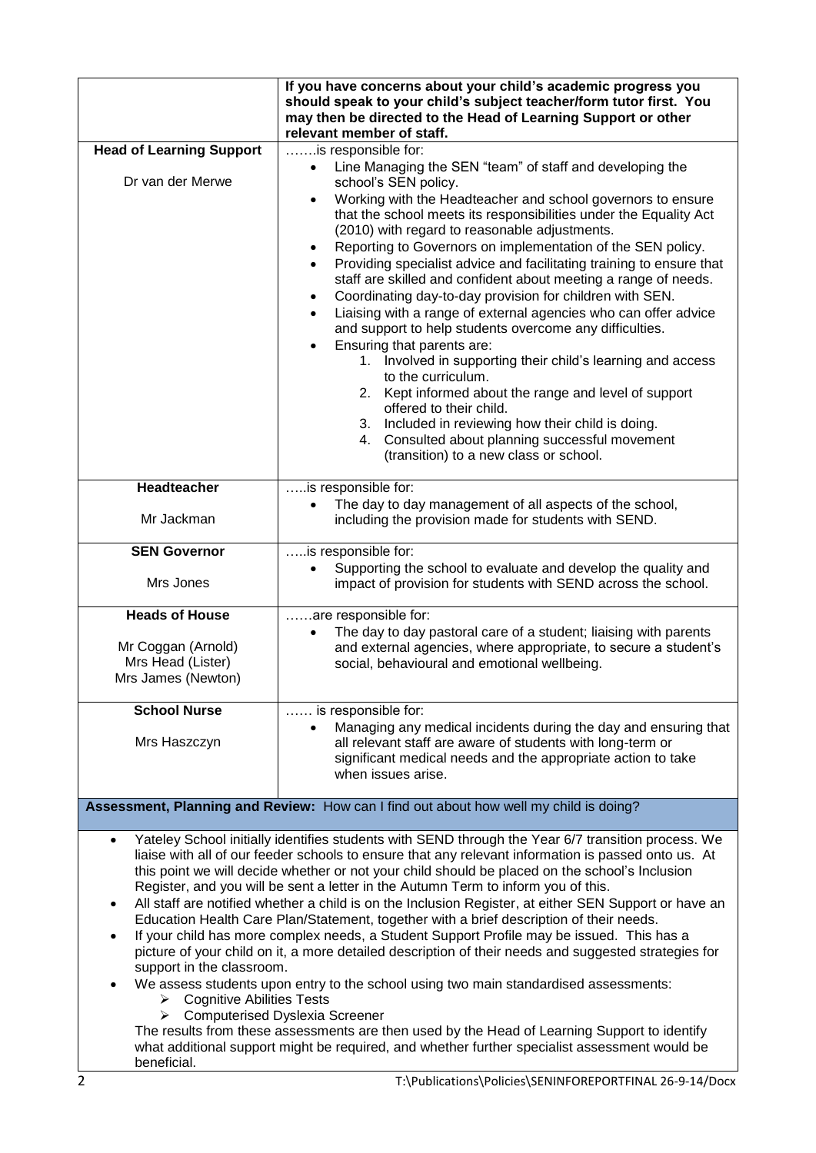|                                                                                                                                                                                                                                                                                                                                                                                                                                                                                                                                                                                                                                                                                                                                                                                                                                                                                                                                                                                                                                                                                                                                                                                                                                                                           | If you have concerns about your child's academic progress you<br>should speak to your child's subject teacher/form tutor first. You                                                                                                                                                                                                                |  |  |  |
|---------------------------------------------------------------------------------------------------------------------------------------------------------------------------------------------------------------------------------------------------------------------------------------------------------------------------------------------------------------------------------------------------------------------------------------------------------------------------------------------------------------------------------------------------------------------------------------------------------------------------------------------------------------------------------------------------------------------------------------------------------------------------------------------------------------------------------------------------------------------------------------------------------------------------------------------------------------------------------------------------------------------------------------------------------------------------------------------------------------------------------------------------------------------------------------------------------------------------------------------------------------------------|----------------------------------------------------------------------------------------------------------------------------------------------------------------------------------------------------------------------------------------------------------------------------------------------------------------------------------------------------|--|--|--|
|                                                                                                                                                                                                                                                                                                                                                                                                                                                                                                                                                                                                                                                                                                                                                                                                                                                                                                                                                                                                                                                                                                                                                                                                                                                                           | may then be directed to the Head of Learning Support or other<br>relevant member of staff.                                                                                                                                                                                                                                                         |  |  |  |
| <b>Head of Learning Support</b>                                                                                                                                                                                                                                                                                                                                                                                                                                                                                                                                                                                                                                                                                                                                                                                                                                                                                                                                                                                                                                                                                                                                                                                                                                           | is responsible for:                                                                                                                                                                                                                                                                                                                                |  |  |  |
| Dr van der Merwe                                                                                                                                                                                                                                                                                                                                                                                                                                                                                                                                                                                                                                                                                                                                                                                                                                                                                                                                                                                                                                                                                                                                                                                                                                                          | Line Managing the SEN "team" of staff and developing the<br>$\bullet$<br>school's SEN policy.                                                                                                                                                                                                                                                      |  |  |  |
|                                                                                                                                                                                                                                                                                                                                                                                                                                                                                                                                                                                                                                                                                                                                                                                                                                                                                                                                                                                                                                                                                                                                                                                                                                                                           | Working with the Headteacher and school governors to ensure<br>that the school meets its responsibilities under the Equality Act<br>(2010) with regard to reasonable adjustments.<br>Reporting to Governors on implementation of the SEN policy.<br>$\bullet$<br>Providing specialist advice and facilitating training to ensure that<br>$\bullet$ |  |  |  |
|                                                                                                                                                                                                                                                                                                                                                                                                                                                                                                                                                                                                                                                                                                                                                                                                                                                                                                                                                                                                                                                                                                                                                                                                                                                                           | staff are skilled and confident about meeting a range of needs.<br>Coordinating day-to-day provision for children with SEN.<br>$\bullet$<br>Liaising with a range of external agencies who can offer advice<br>and support to help students overcome any difficulties.                                                                             |  |  |  |
|                                                                                                                                                                                                                                                                                                                                                                                                                                                                                                                                                                                                                                                                                                                                                                                                                                                                                                                                                                                                                                                                                                                                                                                                                                                                           | Ensuring that parents are:<br>Involved in supporting their child's learning and access<br>1.<br>to the curriculum.                                                                                                                                                                                                                                 |  |  |  |
|                                                                                                                                                                                                                                                                                                                                                                                                                                                                                                                                                                                                                                                                                                                                                                                                                                                                                                                                                                                                                                                                                                                                                                                                                                                                           | Kept informed about the range and level of support<br>2.<br>offered to their child.                                                                                                                                                                                                                                                                |  |  |  |
|                                                                                                                                                                                                                                                                                                                                                                                                                                                                                                                                                                                                                                                                                                                                                                                                                                                                                                                                                                                                                                                                                                                                                                                                                                                                           | Included in reviewing how their child is doing.<br>3.<br>Consulted about planning successful movement<br>4.<br>(transition) to a new class or school.                                                                                                                                                                                              |  |  |  |
| Headteacher                                                                                                                                                                                                                                                                                                                                                                                                                                                                                                                                                                                                                                                                                                                                                                                                                                                                                                                                                                                                                                                                                                                                                                                                                                                               | is responsible for:                                                                                                                                                                                                                                                                                                                                |  |  |  |
| Mr Jackman                                                                                                                                                                                                                                                                                                                                                                                                                                                                                                                                                                                                                                                                                                                                                                                                                                                                                                                                                                                                                                                                                                                                                                                                                                                                | The day to day management of all aspects of the school,<br>including the provision made for students with SEND.                                                                                                                                                                                                                                    |  |  |  |
| <b>SEN Governor</b>                                                                                                                                                                                                                                                                                                                                                                                                                                                                                                                                                                                                                                                                                                                                                                                                                                                                                                                                                                                                                                                                                                                                                                                                                                                       | is responsible for:                                                                                                                                                                                                                                                                                                                                |  |  |  |
| Mrs Jones                                                                                                                                                                                                                                                                                                                                                                                                                                                                                                                                                                                                                                                                                                                                                                                                                                                                                                                                                                                                                                                                                                                                                                                                                                                                 | Supporting the school to evaluate and develop the quality and<br>$\bullet$<br>impact of provision for students with SEND across the school.                                                                                                                                                                                                        |  |  |  |
| <b>Heads of House</b>                                                                                                                                                                                                                                                                                                                                                                                                                                                                                                                                                                                                                                                                                                                                                                                                                                                                                                                                                                                                                                                                                                                                                                                                                                                     | are responsible for:                                                                                                                                                                                                                                                                                                                               |  |  |  |
| Mr Coggan (Arnold)<br>Mrs Head (Lister)<br>Mrs James (Newton)                                                                                                                                                                                                                                                                                                                                                                                                                                                                                                                                                                                                                                                                                                                                                                                                                                                                                                                                                                                                                                                                                                                                                                                                             | The day to day pastoral care of a student; liaising with parents<br>$\bullet$<br>and external agencies, where appropriate, to secure a student's<br>social, behavioural and emotional wellbeing.                                                                                                                                                   |  |  |  |
| <b>School Nurse</b>                                                                                                                                                                                                                                                                                                                                                                                                                                                                                                                                                                                                                                                                                                                                                                                                                                                                                                                                                                                                                                                                                                                                                                                                                                                       | is responsible for:                                                                                                                                                                                                                                                                                                                                |  |  |  |
| Mrs Haszczyn                                                                                                                                                                                                                                                                                                                                                                                                                                                                                                                                                                                                                                                                                                                                                                                                                                                                                                                                                                                                                                                                                                                                                                                                                                                              | Managing any medical incidents during the day and ensuring that<br>all relevant staff are aware of students with long-term or<br>significant medical needs and the appropriate action to take<br>when issues arise.                                                                                                                                |  |  |  |
| Assessment, Planning and Review: How can I find out about how well my child is doing?                                                                                                                                                                                                                                                                                                                                                                                                                                                                                                                                                                                                                                                                                                                                                                                                                                                                                                                                                                                                                                                                                                                                                                                     |                                                                                                                                                                                                                                                                                                                                                    |  |  |  |
| Yateley School initially identifies students with SEND through the Year 6/7 transition process. We<br>$\bullet$<br>liaise with all of our feeder schools to ensure that any relevant information is passed onto us. At<br>this point we will decide whether or not your child should be placed on the school's Inclusion<br>Register, and you will be sent a letter in the Autumn Term to inform you of this.<br>All staff are notified whether a child is on the Inclusion Register, at either SEN Support or have an<br>٠<br>Education Health Care Plan/Statement, together with a brief description of their needs.<br>If your child has more complex needs, a Student Support Profile may be issued. This has a<br>$\bullet$<br>picture of your child on it, a more detailed description of their needs and suggested strategies for<br>support in the classroom.<br>We assess students upon entry to the school using two main standardised assessments:<br>$\triangleright$ Cognitive Abilities Tests<br><b>Computerised Dyslexia Screener</b><br>➤<br>The results from these assessments are then used by the Head of Learning Support to identify<br>what additional support might be required, and whether further specialist assessment would be<br>beneficial. |                                                                                                                                                                                                                                                                                                                                                    |  |  |  |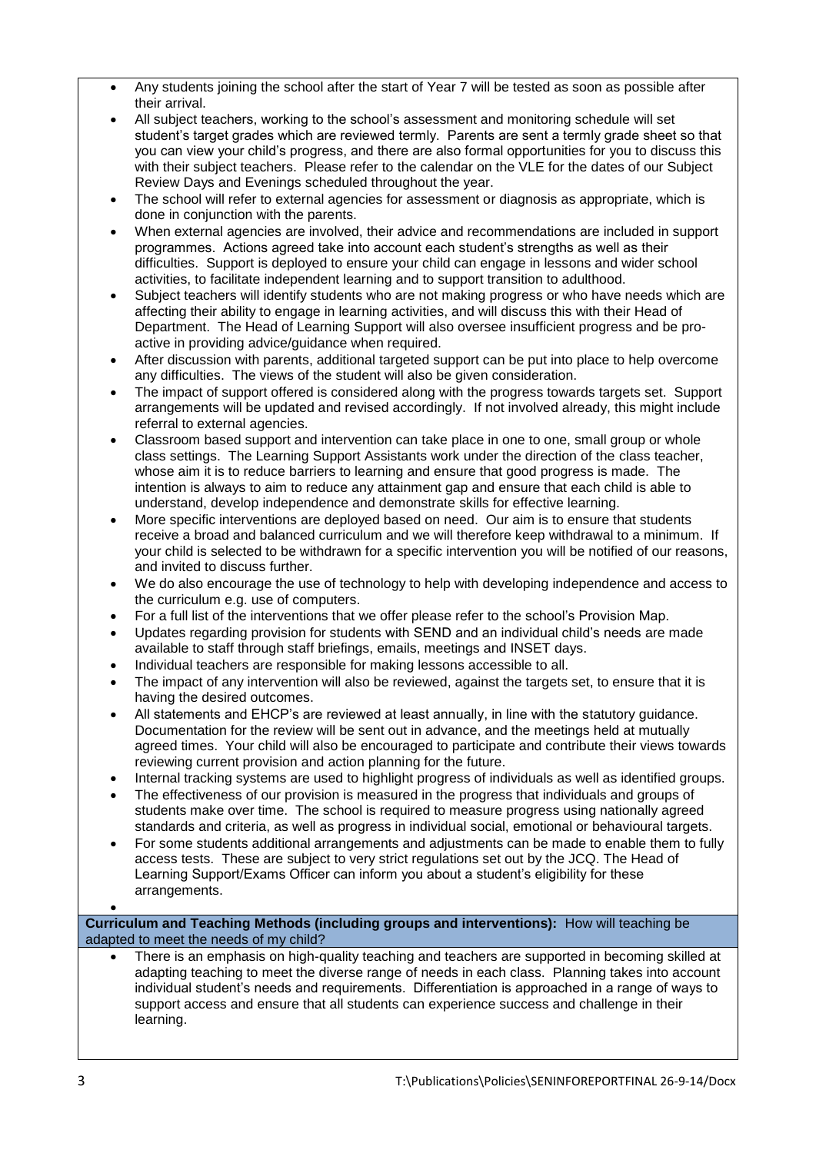- Any students joining the school after the start of Year 7 will be tested as soon as possible after their arrival.
- All subject teachers, working to the school's assessment and monitoring schedule will set student's target grades which are reviewed termly. Parents are sent a termly grade sheet so that you can view your child's progress, and there are also formal opportunities for you to discuss this with their subject teachers. Please refer to the calendar on the VLE for the dates of our Subject Review Days and Evenings scheduled throughout the year.
- The school will refer to external agencies for assessment or diagnosis as appropriate, which is done in conjunction with the parents.
- When external agencies are involved, their advice and recommendations are included in support programmes. Actions agreed take into account each student's strengths as well as their difficulties. Support is deployed to ensure your child can engage in lessons and wider school activities, to facilitate independent learning and to support transition to adulthood.
- Subject teachers will identify students who are not making progress or who have needs which are affecting their ability to engage in learning activities, and will discuss this with their Head of Department. The Head of Learning Support will also oversee insufficient progress and be proactive in providing advice/guidance when required.
- After discussion with parents, additional targeted support can be put into place to help overcome any difficulties. The views of the student will also be given consideration.
- The impact of support offered is considered along with the progress towards targets set. Support arrangements will be updated and revised accordingly. If not involved already, this might include referral to external agencies.
- Classroom based support and intervention can take place in one to one, small group or whole class settings. The Learning Support Assistants work under the direction of the class teacher, whose aim it is to reduce barriers to learning and ensure that good progress is made. The intention is always to aim to reduce any attainment gap and ensure that each child is able to understand, develop independence and demonstrate skills for effective learning.
- More specific interventions are deployed based on need. Our aim is to ensure that students receive a broad and balanced curriculum and we will therefore keep withdrawal to a minimum. If your child is selected to be withdrawn for a specific intervention you will be notified of our reasons, and invited to discuss further.
- We do also encourage the use of technology to help with developing independence and access to the curriculum e.g. use of computers.
- For a full list of the interventions that we offer please refer to the school's Provision Map.
- Updates regarding provision for students with SEND and an individual child's needs are made available to staff through staff briefings, emails, meetings and INSET days.
- Individual teachers are responsible for making lessons accessible to all.
- The impact of any intervention will also be reviewed, against the targets set, to ensure that it is having the desired outcomes.
- All statements and EHCP's are reviewed at least annually, in line with the statutory guidance. Documentation for the review will be sent out in advance, and the meetings held at mutually agreed times. Your child will also be encouraged to participate and contribute their views towards reviewing current provision and action planning for the future.
- Internal tracking systems are used to highlight progress of individuals as well as identified groups.
- The effectiveness of our provision is measured in the progress that individuals and groups of students make over time. The school is required to measure progress using nationally agreed standards and criteria, as well as progress in individual social, emotional or behavioural targets.
- For some students additional arrangements and adjustments can be made to enable them to fully access tests. These are subject to very strict regulations set out by the JCQ. The Head of Learning Support/Exams Officer can inform you about a student's eligibility for these arrangements.
- $\bullet$

**Curriculum and Teaching Methods (including groups and interventions):** How will teaching be adapted to meet the needs of my child?

 There is an emphasis on high-quality teaching and teachers are supported in becoming skilled at adapting teaching to meet the diverse range of needs in each class. Planning takes into account individual student's needs and requirements. Differentiation is approached in a range of ways to support access and ensure that all students can experience success and challenge in their learning.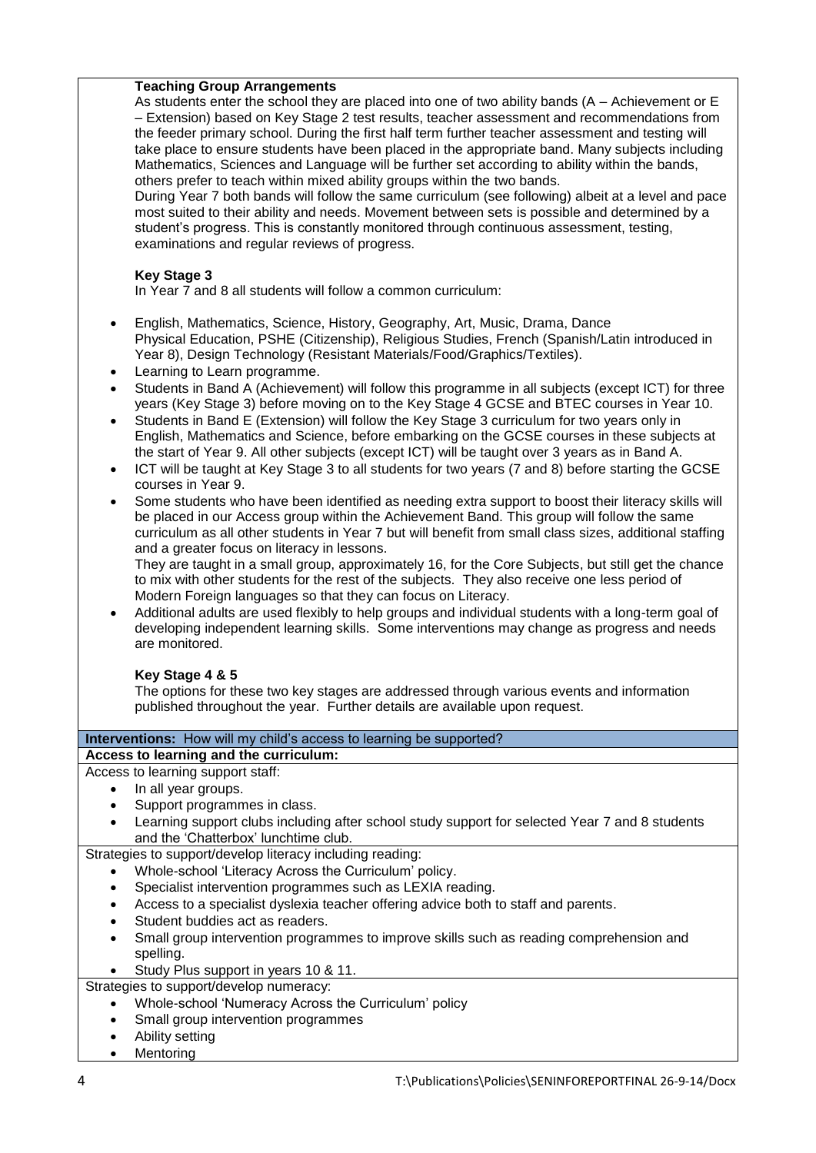### **Teaching Group Arrangements**

As students enter the school they are placed into one of two ability bands (A – Achievement or E – Extension) based on Key Stage 2 test results, teacher assessment and recommendations from the feeder primary school. During the first half term further teacher assessment and testing will take place to ensure students have been placed in the appropriate band. Many subjects including Mathematics, Sciences and Language will be further set according to ability within the bands, others prefer to teach within mixed ability groups within the two bands.

During Year 7 both bands will follow the same curriculum (see following) albeit at a level and pace most suited to their ability and needs. Movement between sets is possible and determined by a student's progress. This is constantly monitored through continuous assessment, testing, examinations and regular reviews of progress.

## **Key Stage 3**

In Year 7 and 8 all students will follow a common curriculum:

- English, Mathematics, Science, History, Geography, Art, Music, Drama, Dance Physical Education, PSHE (Citizenship), Religious Studies, French (Spanish/Latin introduced in Year 8), Design Technology (Resistant Materials/Food/Graphics/Textiles).
- Learning to Learn programme.
- Students in Band A (Achievement) will follow this programme in all subjects (except ICT) for three years (Key Stage 3) before moving on to the Key Stage 4 GCSE and BTEC courses in Year 10.
- Students in Band E (Extension) will follow the Key Stage 3 curriculum for two years only in English, Mathematics and Science, before embarking on the GCSE courses in these subjects at the start of Year 9. All other subjects (except ICT) will be taught over 3 years as in Band A.
- ICT will be taught at Key Stage 3 to all students for two years (7 and 8) before starting the GCSE courses in Year 9.
- Some students who have been identified as needing extra support to boost their literacy skills will be placed in our Access group within the Achievement Band. This group will follow the same curriculum as all other students in Year 7 but will benefit from small class sizes, additional staffing and a greater focus on literacy in lessons.

They are taught in a small group, approximately 16, for the Core Subjects, but still get the chance to mix with other students for the rest of the subjects. They also receive one less period of Modern Foreign languages so that they can focus on Literacy.

 Additional adults are used flexibly to help groups and individual students with a long-term goal of developing independent learning skills. Some interventions may change as progress and needs are monitored.

# **Key Stage 4 & 5**

The options for these two key stages are addressed through various events and information published throughout the year. Further details are available upon request.

#### **Interventions:** How will my child's access to learning be supported?

### **Access to learning and the curriculum:**

Access to learning support staff:

- In all year groups.
- Support programmes in class.
- Learning support clubs including after school study support for selected Year 7 and 8 students and the 'Chatterbox' lunchtime club.

Strategies to support/develop literacy including reading:

- Whole-school 'Literacy Across the Curriculum' policy.
- Specialist intervention programmes such as LEXIA reading.
- Access to a specialist dyslexia teacher offering advice both to staff and parents.
- Student buddies act as readers.
- Small group intervention programmes to improve skills such as reading comprehension and spelling.
- Study Plus support in years 10 & 11.

Strategies to support/develop numeracy:

- Whole-school 'Numeracy Across the Curriculum' policy
- Small group intervention programmes
- Ability setting
- Mentoring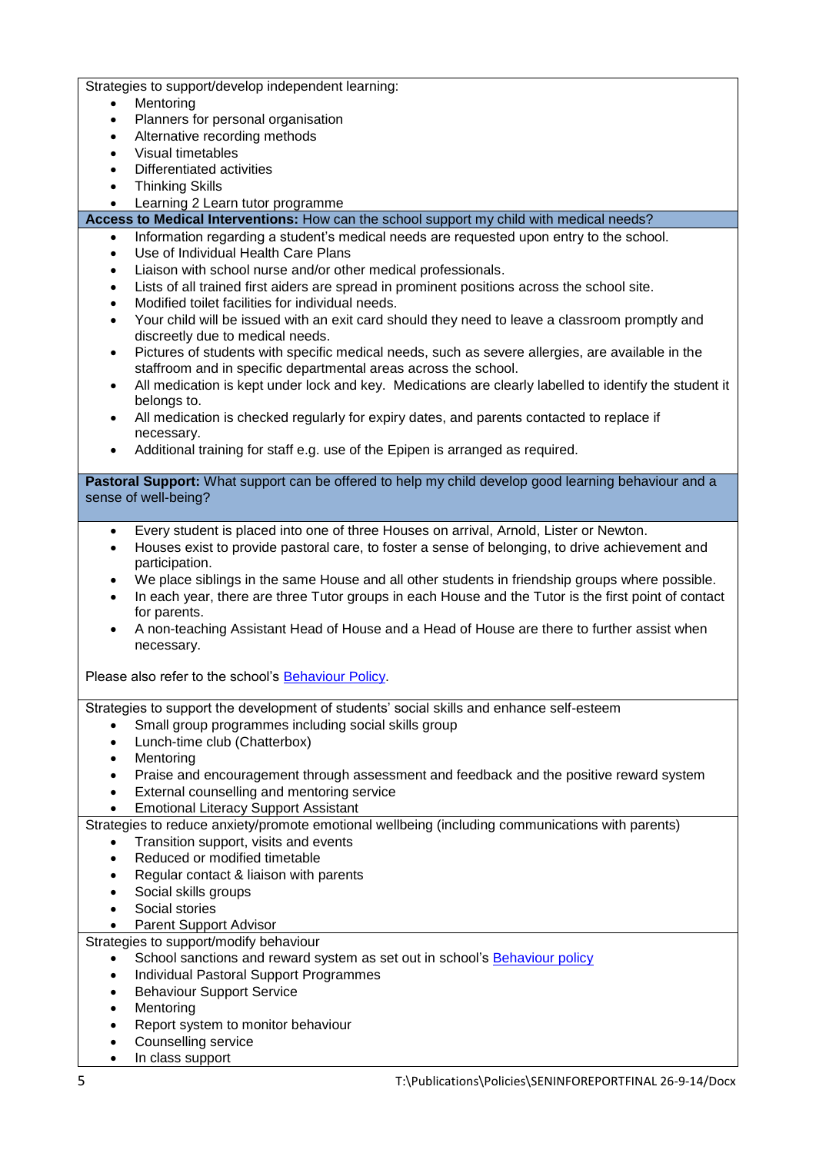Strategies to support/develop independent learning:

- Mentoring
- Planners for personal organisation
- Alternative recording methods
- Visual timetables
- Differentiated activities
- Thinking Skills
- Learning 2 Learn tutor programme

**Access to Medical Interventions:** How can the school support my child with medical needs?

- Information regarding a student's medical needs are requested upon entry to the school.
- Use of Individual Health Care Plans
- Liaison with school nurse and/or other medical professionals.
- Lists of all trained first aiders are spread in prominent positions across the school site.
- Modified toilet facilities for individual needs.
- Your child will be issued with an exit card should they need to leave a classroom promptly and discreetly due to medical needs.
- Pictures of students with specific medical needs, such as severe allergies, are available in the staffroom and in specific departmental areas across the school.
- All medication is kept under lock and key. Medications are clearly labelled to identify the student it belongs to.
- All medication is checked regularly for expiry dates, and parents contacted to replace if necessary.
- Additional training for staff e.g. use of the Epipen is arranged as required.

**Pastoral Support:** What support can be offered to help my child develop good learning behaviour and a sense of well-being?

- Every student is placed into one of three Houses on arrival, Arnold, Lister or Newton.
- Houses exist to provide pastoral care, to foster a sense of belonging, to drive achievement and participation.
- We place siblings in the same House and all other students in friendship groups where possible.
- In each year, there are three Tutor groups in each House and the Tutor is the first point of contact for parents.
- A non-teaching Assistant Head of House and a Head of House are there to further assist when necessary.

Please also refer to the school's [Behaviour Policy.](https://moodle.yateley.hants.sch.uk/mod/resource/view.php?id=19815)

Strategies to support the development of students' social skills and enhance self-esteem

- Small group programmes including social skills group
- Lunch-time club (Chatterbox)
- Mentoring
- Praise and encouragement through assessment and feedback and the positive reward system
- External counselling and mentoring service
- Emotional Literacy Support Assistant

Strategies to reduce anxiety/promote emotional wellbeing (including communications with parents)

- Transition support, visits and events
- Reduced or modified timetable
- Regular contact & liaison with parents
- Social skills groups
- Social stories
- Parent Support Advisor

Strategies to support/modify behaviour

- School sanctions and reward system as set out in school's [Behaviour policy](https://moodle.yateley.hants.sch.uk/mod/resource/view.php?id=19815)
- Individual Pastoral Support Programmes
- Behaviour Support Service
- Mentoring
- Report system to monitor behaviour
- Counselling service
- In class support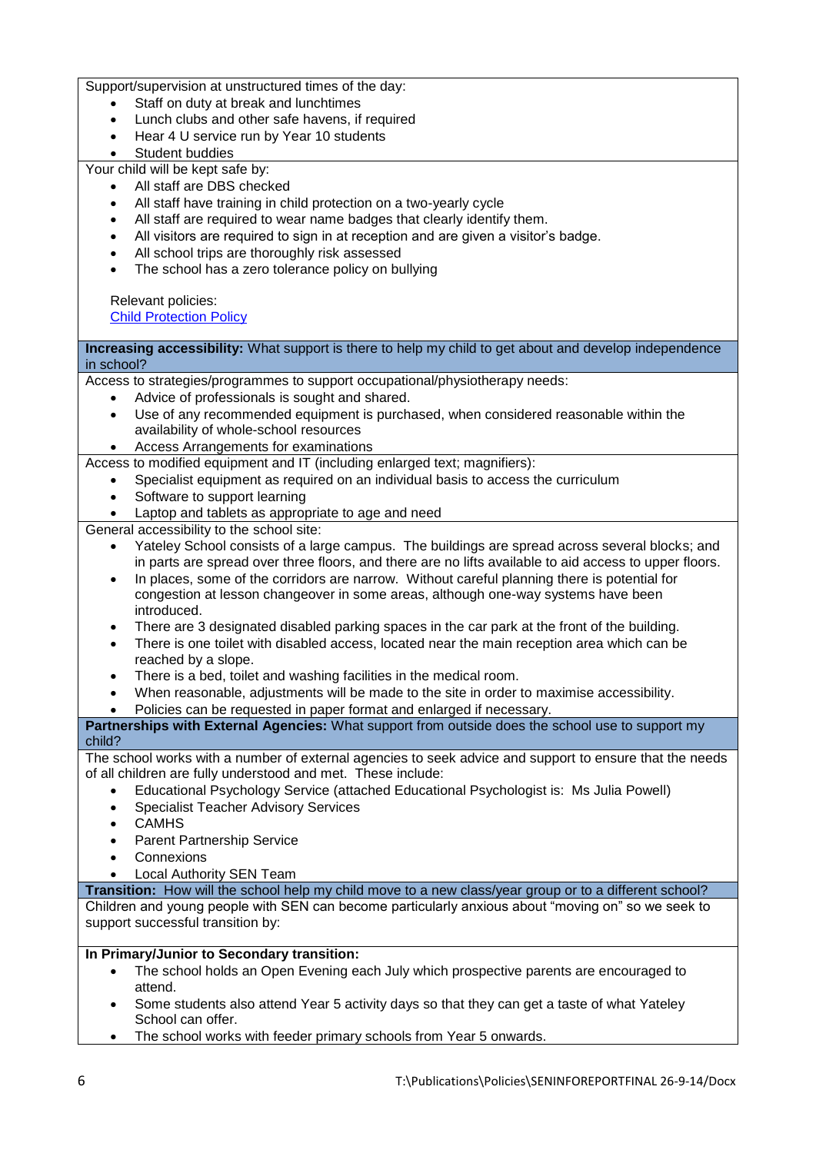Support/supervision at unstructured times of the day:

- Staff on duty at break and lunchtimes
- Lunch clubs and other safe havens, if required
- Hear 4 U service run by Year 10 students
- Student buddies

Your child will be kept safe by:

- All staff are DBS checked
- All staff have training in child protection on a two-yearly cycle
- All staff are required to wear name badges that clearly identify them.
- All visitors are required to sign in at reception and are given a visitor's badge.
- All school trips are thoroughly risk assessed
- The school has a zero tolerance policy on bullying

Relevant policies: [Child Protection Policy](https://moodle.yateley.hants.sch.uk/mod/resource/view.php?id=10000)

**Increasing accessibility:** What support is there to help my child to get about and develop independence in school? Access to strategies/programmes to support occupational/physiotherapy needs: Advice of professionals is sought and shared. Use of any recommended equipment is purchased, when considered reasonable within the availability of whole-school resources Access Arrangements for examinations Access to modified equipment and IT (including enlarged text; magnifiers): Specialist equipment as required on an individual basis to access the curriculum Software to support learning Laptop and tablets as appropriate to age and need General accessibility to the school site: Yateley School consists of a large campus. The buildings are spread across several blocks; and in parts are spread over three floors, and there are no lifts available to aid access to upper floors. In places, some of the corridors are narrow. Without careful planning there is potential for congestion at lesson changeover in some areas, although one-way systems have been introduced. There are 3 designated disabled parking spaces in the car park at the front of the building. There is one toilet with disabled access, located near the main reception area which can be reached by a slope. There is a bed, toilet and washing facilities in the medical room. When reasonable, adjustments will be made to the site in order to maximise accessibility. Policies can be requested in paper format and enlarged if necessary. **Partnerships with External Agencies:** What support from outside does the school use to support my child? The school works with a number of external agencies to seek advice and support to ensure that the needs of all children are fully understood and met. These include: Educational Psychology Service (attached Educational Psychologist is: Ms Julia Powell) Specialist Teacher Advisory Services **CAMHS**  Parent Partnership Service Connexions Local Authority SEN Team

**Transition:** How will the school help my child move to a new class/year group or to a different school?

Children and young people with SEN can become particularly anxious about "moving on" so we seek to support successful transition by:

### **In Primary/Junior to Secondary transition:**

- The school holds an Open Evening each July which prospective parents are encouraged to attend.
- Some students also attend Year 5 activity days so that they can get a taste of what Yateley School can offer.
- The school works with feeder primary schools from Year 5 onwards.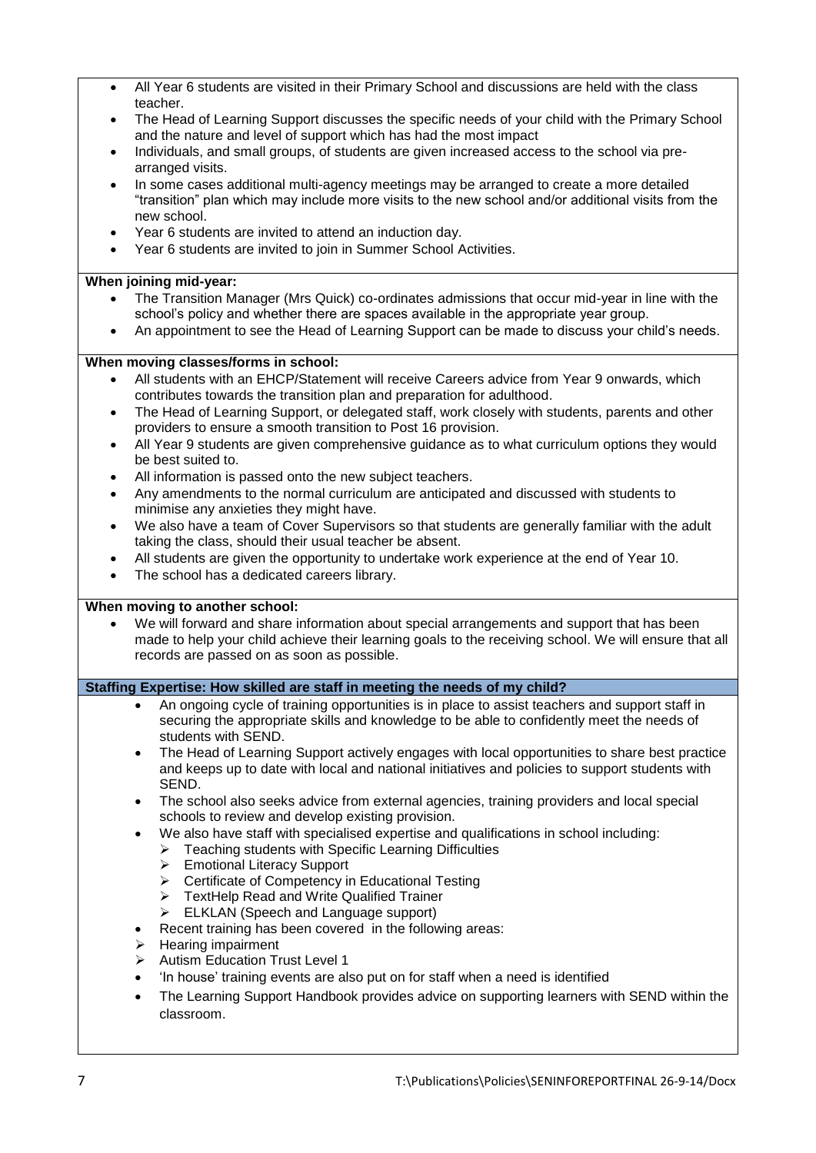| $\bullet$ | All Year 6 students are visited in their Primary School and discussions are held with the class                                                                                                                                                                                           |
|-----------|-------------------------------------------------------------------------------------------------------------------------------------------------------------------------------------------------------------------------------------------------------------------------------------------|
|           | teacher.                                                                                                                                                                                                                                                                                  |
|           | The Head of Learning Support discusses the specific needs of your child with the Primary School<br>and the nature and level of support which has had the most impact                                                                                                                      |
| $\bullet$ | Individuals, and small groups, of students are given increased access to the school via pre-                                                                                                                                                                                              |
|           | arranged visits.                                                                                                                                                                                                                                                                          |
| $\bullet$ | In some cases additional multi-agency meetings may be arranged to create a more detailed<br>"transition" plan which may include more visits to the new school and/or additional visits from the<br>new school.                                                                            |
|           | Year 6 students are invited to attend an induction day.                                                                                                                                                                                                                                   |
| $\bullet$ | Year 6 students are invited to join in Summer School Activities.                                                                                                                                                                                                                          |
|           |                                                                                                                                                                                                                                                                                           |
|           | When joining mid-year:                                                                                                                                                                                                                                                                    |
| $\bullet$ | The Transition Manager (Mrs Quick) co-ordinates admissions that occur mid-year in line with the<br>school's policy and whether there are spaces available in the appropriate year group.<br>An appointment to see the Head of Learning Support can be made to discuss your child's needs. |
|           | When moving classes/forms in school:                                                                                                                                                                                                                                                      |
| $\bullet$ | All students with an EHCP/Statement will receive Careers advice from Year 9 onwards, which                                                                                                                                                                                                |
|           | contributes towards the transition plan and preparation for adulthood.                                                                                                                                                                                                                    |
| $\bullet$ | The Head of Learning Support, or delegated staff, work closely with students, parents and other<br>providers to ensure a smooth transition to Post 16 provision.                                                                                                                          |
| $\bullet$ | All Year 9 students are given comprehensive guidance as to what curriculum options they would<br>be best suited to.                                                                                                                                                                       |
| $\bullet$ | All information is passed onto the new subject teachers.                                                                                                                                                                                                                                  |
| $\bullet$ | Any amendments to the normal curriculum are anticipated and discussed with students to                                                                                                                                                                                                    |
|           | minimise any anxieties they might have.                                                                                                                                                                                                                                                   |
| $\bullet$ | We also have a team of Cover Supervisors so that students are generally familiar with the adult                                                                                                                                                                                           |
| $\bullet$ | taking the class, should their usual teacher be absent.<br>All students are given the opportunity to undertake work experience at the end of Year 10.                                                                                                                                     |
| $\bullet$ | The school has a dedicated careers library.                                                                                                                                                                                                                                               |
|           |                                                                                                                                                                                                                                                                                           |
|           | When moving to another school:                                                                                                                                                                                                                                                            |
|           | We will forward and share information about special arrangements and support that has been<br>made to help your child achieve their learning goals to the receiving school. We will ensure that all<br>records are passed on as soon as possible.                                         |
|           | Staffing Expertise: How skilled are staff in meeting the needs of my child?                                                                                                                                                                                                               |
|           | An ongoing cycle of training opportunities is in place to assist teachers and support staff in<br>$\bullet$                                                                                                                                                                               |
|           | securing the appropriate skills and knowledge to be able to confidently meet the needs of<br>students with SEND.                                                                                                                                                                          |
|           | The Head of Learning Support actively engages with local opportunities to share best practice<br>$\bullet$<br>and keeps up to date with local and national initiatives and policies to support students with<br>SEND.                                                                     |
|           | The school also seeks advice from external agencies, training providers and local special<br>$\bullet$<br>schools to review and develop existing provision.                                                                                                                               |
|           | We also have staff with specialised expertise and qualifications in school including:<br>$\bullet$                                                                                                                                                                                        |
|           | > Teaching students with Specific Learning Difficulties                                                                                                                                                                                                                                   |
|           | > Emotional Literacy Support                                                                                                                                                                                                                                                              |
|           | > Certificate of Competency in Educational Testing<br>> TextHelp Read and Write Qualified Trainer                                                                                                                                                                                         |
|           | ELKLAN (Speech and Language support)<br>$\blacktriangleright$                                                                                                                                                                                                                             |
|           | Recent training has been covered in the following areas:<br>$\bullet$                                                                                                                                                                                                                     |
|           | Hearing impairment<br>➤                                                                                                                                                                                                                                                                   |
|           | <b>Autism Education Trust Level 1</b><br>⋗                                                                                                                                                                                                                                                |
|           | 'In house' training events are also put on for staff when a need is identified<br>$\bullet$                                                                                                                                                                                               |
|           |                                                                                                                                                                                                                                                                                           |
|           | The Learning Support Handbook provides advice on supporting learners with SEND within the<br>$\bullet$                                                                                                                                                                                    |
|           | classroom.                                                                                                                                                                                                                                                                                |
|           |                                                                                                                                                                                                                                                                                           |
|           |                                                                                                                                                                                                                                                                                           |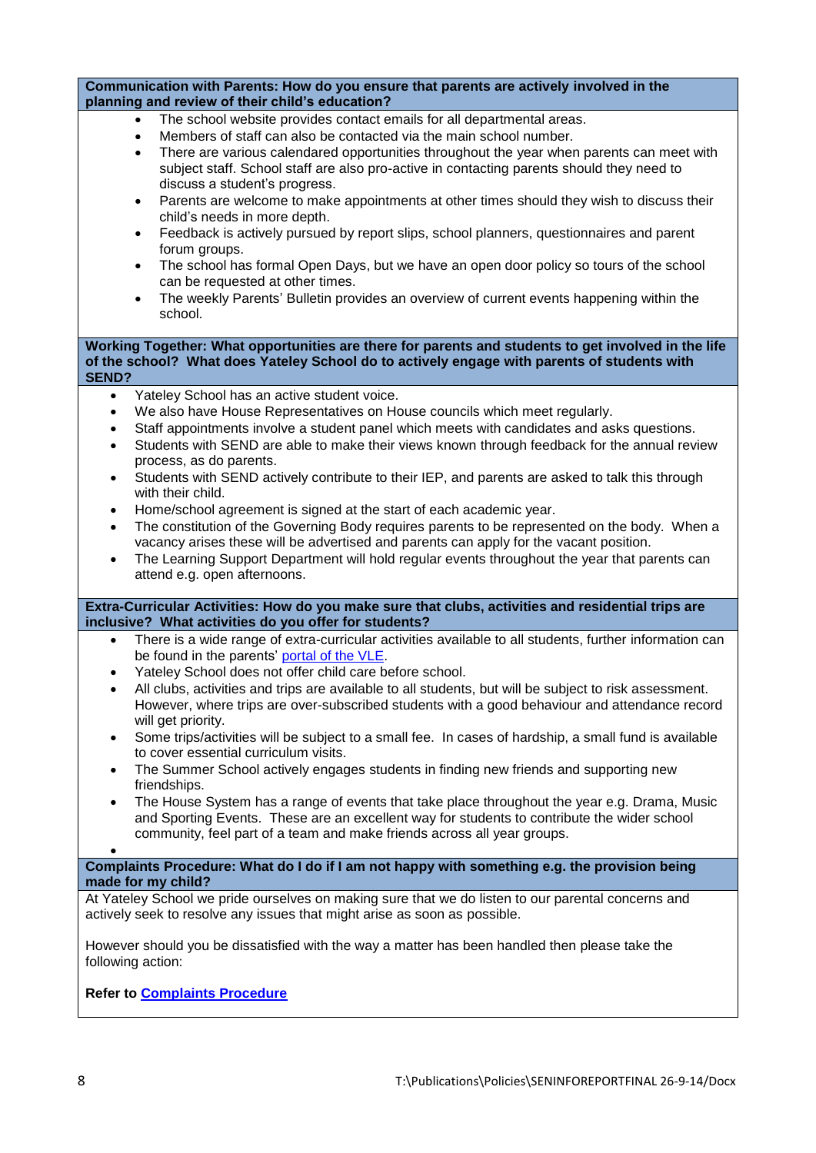| Communication with Parents: How do you ensure that parents are actively involved in the<br>planning and review of their child's education?                                                                                                                                                                                                                                                                                                                                                                                                                                                                                                                                                                                                                                                                                                                                                                                                                                                                                                                                 |  |  |  |
|----------------------------------------------------------------------------------------------------------------------------------------------------------------------------------------------------------------------------------------------------------------------------------------------------------------------------------------------------------------------------------------------------------------------------------------------------------------------------------------------------------------------------------------------------------------------------------------------------------------------------------------------------------------------------------------------------------------------------------------------------------------------------------------------------------------------------------------------------------------------------------------------------------------------------------------------------------------------------------------------------------------------------------------------------------------------------|--|--|--|
| The school website provides contact emails for all departmental areas.<br>Members of staff can also be contacted via the main school number.<br>$\bullet$<br>There are various calendared opportunities throughout the year when parents can meet with<br>$\bullet$<br>subject staff. School staff are also pro-active in contacting parents should they need to<br>discuss a student's progress.<br>Parents are welcome to make appointments at other times should they wish to discuss their<br>$\bullet$<br>child's needs in more depth.<br>Feedback is actively pursued by report slips, school planners, questionnaires and parent<br>$\bullet$<br>forum groups.<br>The school has formal Open Days, but we have an open door policy so tours of the school<br>$\bullet$<br>can be requested at other times.<br>The weekly Parents' Bulletin provides an overview of current events happening within the<br>$\bullet$<br>school.                                                                                                                                      |  |  |  |
| Working Together: What opportunities are there for parents and students to get involved in the life<br>of the school? What does Yateley School do to actively engage with parents of students with<br><b>SEND?</b>                                                                                                                                                                                                                                                                                                                                                                                                                                                                                                                                                                                                                                                                                                                                                                                                                                                         |  |  |  |
| Yateley School has an active student voice.<br>$\bullet$<br>We also have House Representatives on House councils which meet regularly.<br>$\bullet$<br>Staff appointments involve a student panel which meets with candidates and asks questions.<br>$\bullet$<br>Students with SEND are able to make their views known through feedback for the annual review<br>$\bullet$<br>process, as do parents.<br>Students with SEND actively contribute to their IEP, and parents are asked to talk this through<br>$\bullet$<br>with their child.<br>Home/school agreement is signed at the start of each academic year.<br>$\bullet$<br>The constitution of the Governing Body requires parents to be represented on the body. When a<br>$\bullet$<br>vacancy arises these will be advertised and parents can apply for the vacant position.<br>The Learning Support Department will hold regular events throughout the year that parents can<br>$\bullet$<br>attend e.g. open afternoons.                                                                                      |  |  |  |
| Extra-Curricular Activities: How do you make sure that clubs, activities and residential trips are<br>inclusive? What activities do you offer for students?                                                                                                                                                                                                                                                                                                                                                                                                                                                                                                                                                                                                                                                                                                                                                                                                                                                                                                                |  |  |  |
| There is a wide range of extra-curricular activities available to all students, further information can<br>$\bullet$<br>be found in the parents' portal of the VLE.<br>Yateley School does not offer child care before school.<br>$\bullet$<br>All clubs, activities and trips are available to all students, but will be subject to risk assessment.<br>٠<br>However, where trips are over-subscribed students with a good behaviour and attendance record<br>will get priority.<br>Some trips/activities will be subject to a small fee. In cases of hardship, a small fund is available<br>$\bullet$<br>to cover essential curriculum visits.<br>The Summer School actively engages students in finding new friends and supporting new<br>$\bullet$<br>friendships.<br>The House System has a range of events that take place throughout the year e.g. Drama, Music<br>$\bullet$<br>and Sporting Events. These are an excellent way for students to contribute the wider school<br>community, feel part of a team and make friends across all year groups.<br>$\bullet$ |  |  |  |
| Complaints Procedure: What do I do if I am not happy with something e.g. the provision being<br>made for my child?                                                                                                                                                                                                                                                                                                                                                                                                                                                                                                                                                                                                                                                                                                                                                                                                                                                                                                                                                         |  |  |  |
| At Yateley School we pride ourselves on making sure that we do listen to our parental concerns and<br>actively seek to resolve any issues that might arise as soon as possible.                                                                                                                                                                                                                                                                                                                                                                                                                                                                                                                                                                                                                                                                                                                                                                                                                                                                                            |  |  |  |
| However should you be dissatisfied with the way a matter has been handled then please take the<br>following action:                                                                                                                                                                                                                                                                                                                                                                                                                                                                                                                                                                                                                                                                                                                                                                                                                                                                                                                                                        |  |  |  |
| <b>Refer to Complaints Procedure</b>                                                                                                                                                                                                                                                                                                                                                                                                                                                                                                                                                                                                                                                                                                                                                                                                                                                                                                                                                                                                                                       |  |  |  |